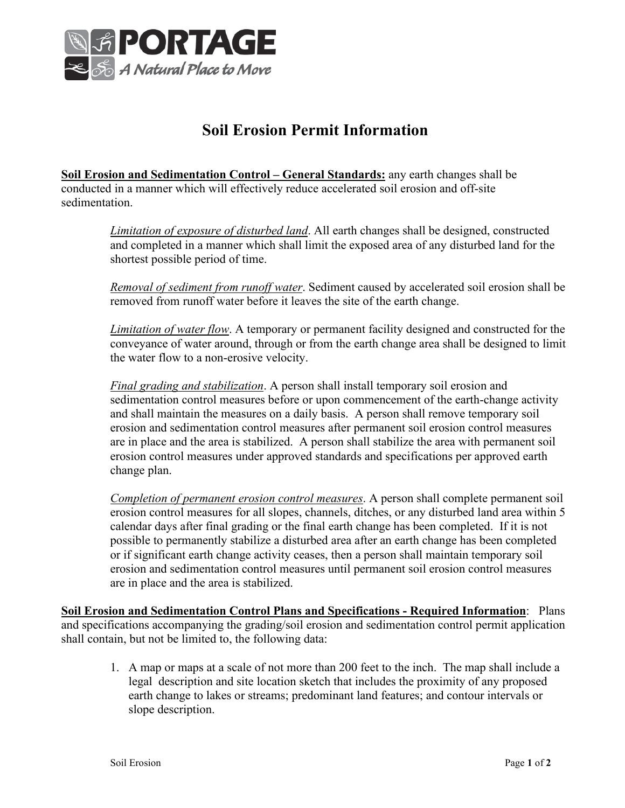

## **Soil Erosion Permit Information**

**Soil Erosion and Sedimentation Control – General Standards:** any earth changes shall be conducted in a manner which will effectively reduce accelerated soil erosion and off-site sedimentation.

> *Limitation of exposure of disturbed land*. All earth changes shall be designed, constructed and completed in a manner which shall limit the exposed area of any disturbed land for the shortest possible period of time.

*Removal of sediment from runoff water*. Sediment caused by accelerated soil erosion shall be removed from runoff water before it leaves the site of the earth change.

*Limitation of water flow*. A temporary or permanent facility designed and constructed for the conveyance of water around, through or from the earth change area shall be designed to limit the water flow to a non-erosive velocity.

*Final grading and stabilization*. A person shall install temporary soil erosion and sedimentation control measures before or upon commencement of the earth-change activity and shall maintain the measures on a daily basis. A person shall remove temporary soil erosion and sedimentation control measures after permanent soil erosion control measures are in place and the area is stabilized. A person shall stabilize the area with permanent soil erosion control measures under approved standards and specifications per approved earth change plan.

*Completion of permanent erosion control measures*. A person shall complete permanent soil erosion control measures for all slopes, channels, ditches, or any disturbed land area within 5 calendar days after final grading or the final earth change has been completed. If it is not possible to permanently stabilize a disturbed area after an earth change has been completed or if significant earth change activity ceases, then a person shall maintain temporary soil erosion and sedimentation control measures until permanent soil erosion control measures are in place and the area is stabilized.

**Soil Erosion and Sedimentation Control Plans and Specifications - Required Information**: Plans and specifications accompanying the grading/soil erosion and sedimentation control permit application shall contain, but not be limited to, the following data:

1. A map or maps at a scale of not more than 200 feet to the inch. The map shall include a legal description and site location sketch that includes the proximity of any proposed earth change to lakes or streams; predominant land features; and contour intervals or slope description.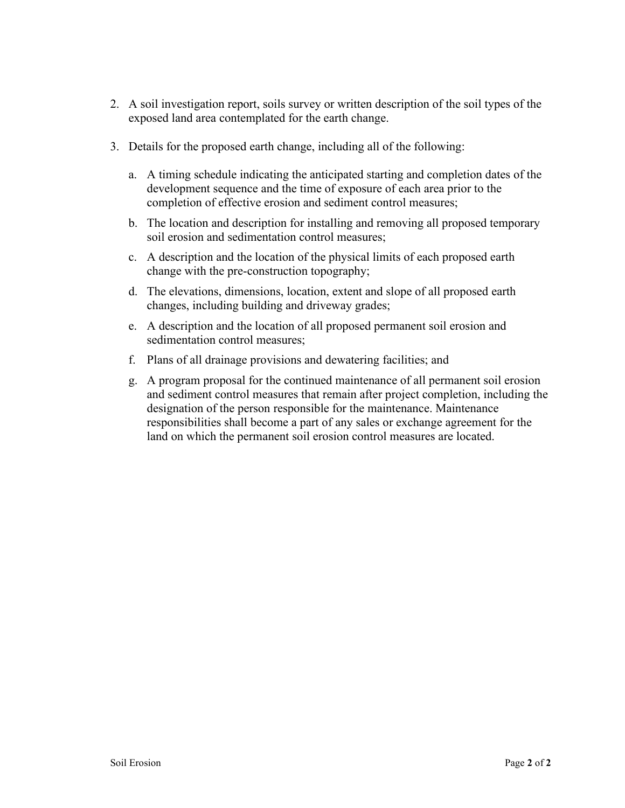- 2. A soil investigation report, soils survey or written description of the soil types of the exposed land area contemplated for the earth change.
- 3. Details for the proposed earth change, including all of the following:
	- a. A timing schedule indicating the anticipated starting and completion dates of the development sequence and the time of exposure of each area prior to the completion of effective erosion and sediment control measures;
	- b. The location and description for installing and removing all proposed temporary soil erosion and sedimentation control measures;
	- c. A description and the location of the physical limits of each proposed earth change with the pre-construction topography;
	- d. The elevations, dimensions, location, extent and slope of all proposed earth changes, including building and driveway grades;
	- e. A description and the location of all proposed permanent soil erosion and sedimentation control measures;
	- f. Plans of all drainage provisions and dewatering facilities; and
	- g. A program proposal for the continued maintenance of all permanent soil erosion and sediment control measures that remain after project completion, including the designation of the person responsible for the maintenance. Maintenance responsibilities shall become a part of any sales or exchange agreement for the land on which the permanent soil erosion control measures are located.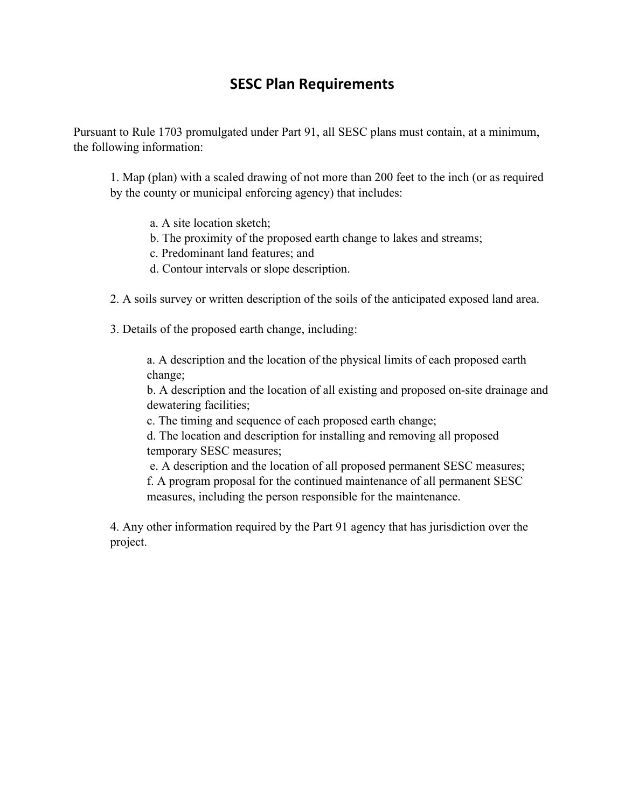## **SESC Plan Requirements**

Pursuant to Rule 1703 promulgated under Part 91, all SESC plans must contain, at a minimum, the following information:

1. Map (plan) with a scaled drawing of not more than 200 feet to the inch (or as required by the county or municipal enforcing agency) that includes:

- a. A site location sketch;
- b. The proximity of the proposed earth change to lakes and streams;
- c. Predominant land features; and
- d. Contour intervals or slope description.
- 2. A soils survey or written description of the soils of the anticipated exposed land area.
- 3. Details of the proposed earth change, including:

a. A description and the location of the physical limits of each proposed earth change;

b. A description and the location of all existing and proposed on-site drainage and dewatering facilities;

c. The timing and sequence of each proposed earth change;

d. The location and description for installing and removing all proposed temporary SESC measures;

e. A description and the location of all proposed permanent SESC measures; f. A program proposal for the continued maintenance of all permanent SESC measures, including the person responsible for the maintenance.

4. Any other information required by the Part 91 agency that has jurisdiction over the project.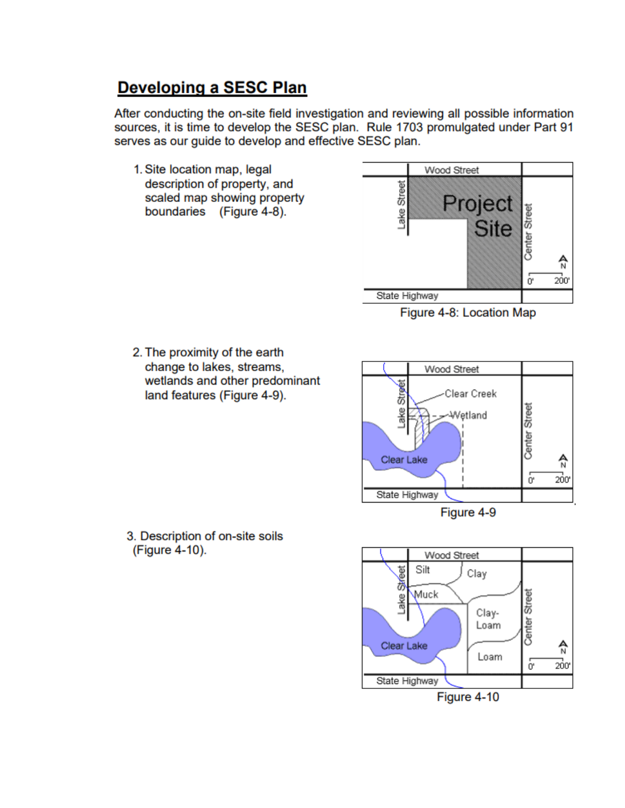## **Developing a SESC Plan**

After conducting the on-site field investigation and reviewing all possible information sources, it is time to develop the SESC plan. Rule 1703 promulgated under Part 91 serves as our guide to develop and effective SESC plan.

1. Site location map, legal description of property, and scaled map showing property boundaries (Figure 4-8).



Figure 4-8: Location Map

2. The proximity of the earth change to lakes, streams, wetlands and other predominant land features (Figure 4-9).







3. Description of on-site soils (Figure 4-10).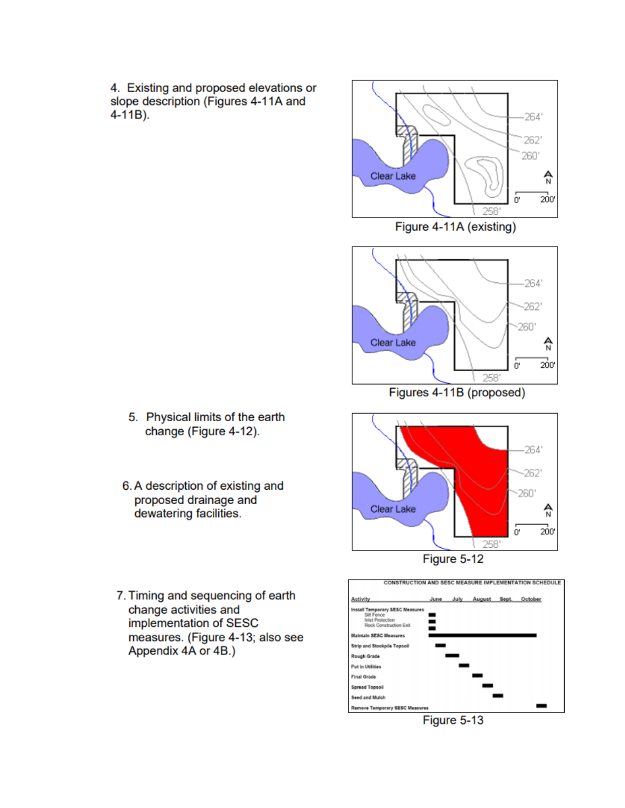4. Existing and proposed elevations or slope description (Figures 4-11A and  $4 - 11B$ ).



Figure 4-11A (existing)



Figures 4-11B (proposed)





- 5. Physical limits of the earth change (Figure 4-12).
- 6. A description of existing and proposed drainage and dewatering facilities.
- 7. Timing and sequencing of earth change activities and implementation of SESC measures. (Figure 4-13; also see Appendix 4A or 4B.)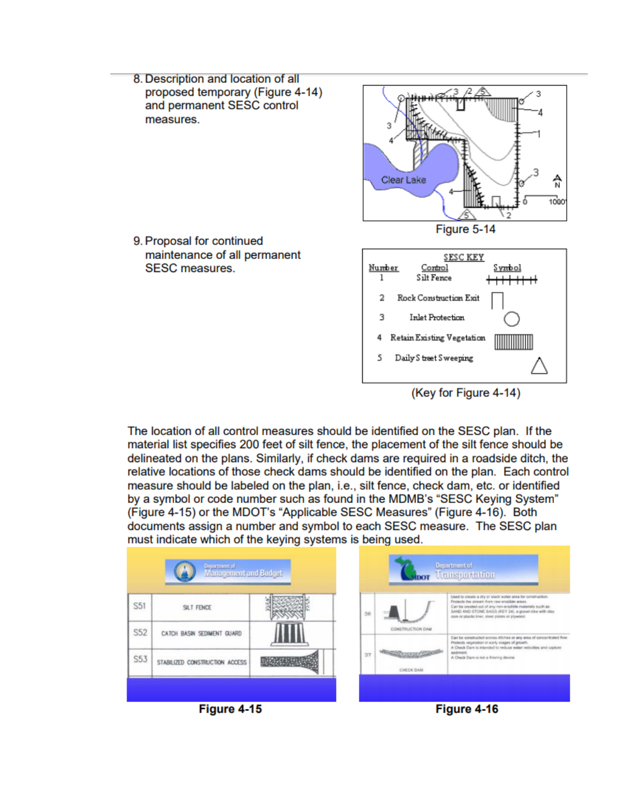

(Key for Figure 4-14)

The location of all control measures should be identified on the SESC plan. If the material list specifies 200 feet of silt fence, the placement of the silt fence should be delineated on the plans. Similarly, if check dams are required in a roadside ditch, the relative locations of those check dams should be identified on the plan. Each control measure should be labeled on the plan, i.e., silt fence, check dam, etc. or identified by a symbol or code number such as found in the MDMB's "SESC Keying System" (Figure 4-15) or the MDOT's "Applicable SESC Measures" (Figure 4-16). Both documents assign a number and symbol to each SESC measure. The SESC plan must indicate which of the keying systems is being used.

|            | Department of<br>Management and Budget                       |    |                  | Department of<br><b>Transportation</b>                                                                                                                                                                                                                                              |
|------------|--------------------------------------------------------------|----|------------------|-------------------------------------------------------------------------------------------------------------------------------------------------------------------------------------------------------------------------------------------------------------------------------------|
| S51        | SILT FENCE                                                   | 36 | CONSTRUCTION DAM | Used to create a dry or slack water area for construction.<br>Protects the stream from raw erodible areas.<br>Can be preated out of any non-erodible materials such as<br>SAND AND STONE EAGS (KEY 24), a gravel clive with clay<br>core or plastic liner, steel plates or plywood. |
| S52<br>S53 | CATCH BASIN SEDIMENT GUARD<br>STABILIZED CONSTRUCTION ACCESS | 37 | CHECK DAM        | Can be constructed across ditches or any area of concentrated flow.<br>Protects vegetation in early stages of growth.<br>A Check Dam is intended to reduce water velocities and capture<br>sedment.<br>A Check Dam is not a filtering device.                                       |
|            | Figure 4-15                                                  |    |                  | Figure 4-16                                                                                                                                                                                                                                                                         |

**Figure 4-15**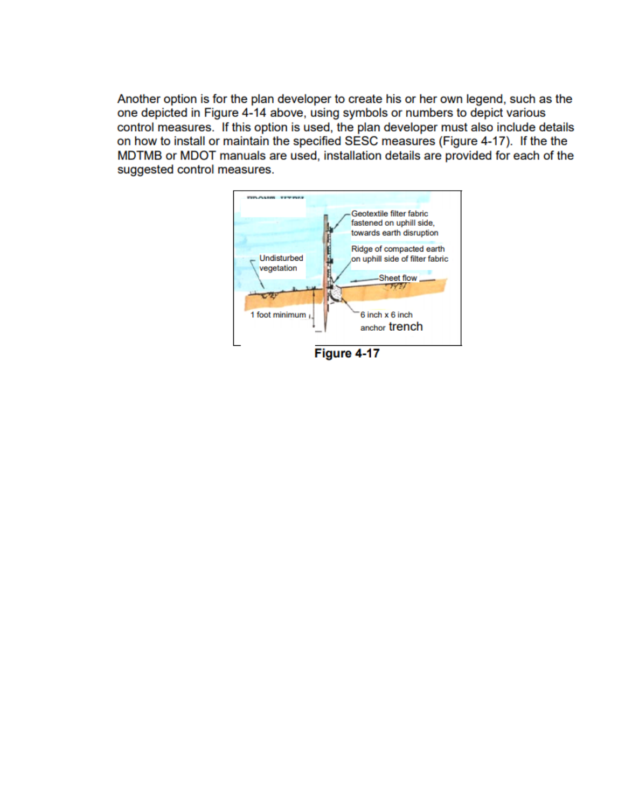Another option is for the plan developer to create his or her own legend, such as the one depicted in Figure 4-14 above, using symbols or numbers to depict various control measures. If this option is used, the plan developer must also include details on how to install or maintain the specified SESC measures (Figure 4-17). If the the MDTMB or MDOT manuals are used, installation details are provided for each of the suggested control measures.



Figure 4-17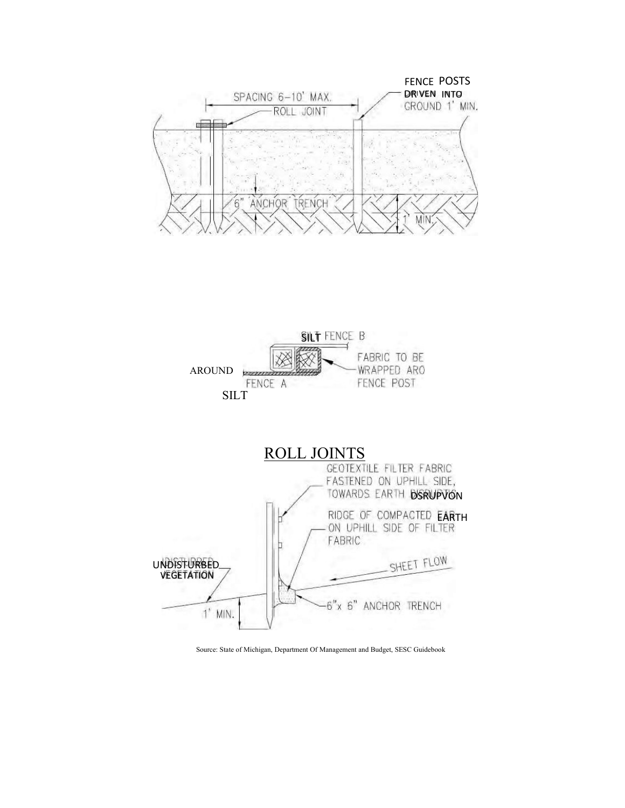





Source: State of Michigan, Department Of Management and Budget, SESC Guidebook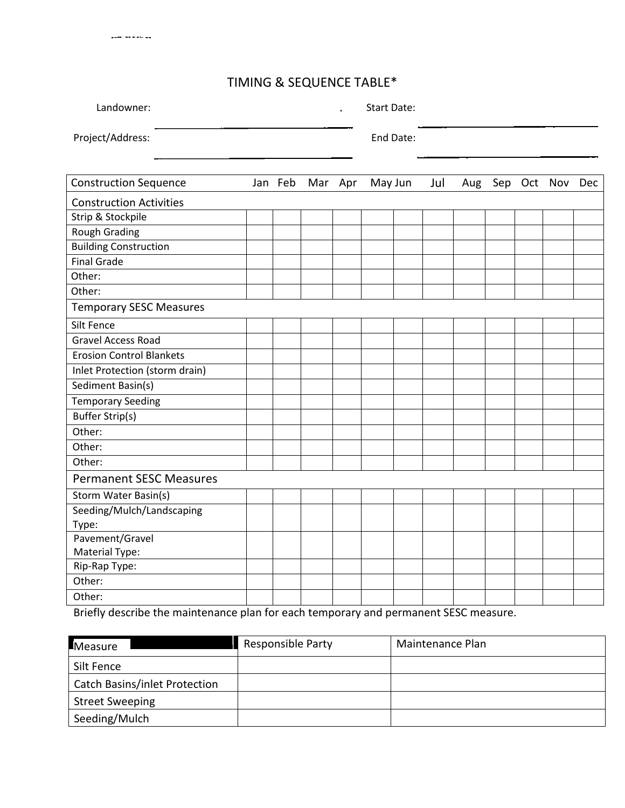## TIMING & SEQUENCE TABLE\*

أيبس محافرها فأقاد المسيني

| Landowner:       | Start Date:<br>$\mathbf{r}$ |
|------------------|-----------------------------|
| Project/Address: | End Date:                   |
|                  |                             |

| <b>Construction Sequence</b>    |  |  | Jan Feb Mar Apr |  | May Jun |  | Jul | Aug |  | Sep Oct Nov | Dec |
|---------------------------------|--|--|-----------------|--|---------|--|-----|-----|--|-------------|-----|
| <b>Construction Activities</b>  |  |  |                 |  |         |  |     |     |  |             |     |
| Strip & Stockpile               |  |  |                 |  |         |  |     |     |  |             |     |
| <b>Rough Grading</b>            |  |  |                 |  |         |  |     |     |  |             |     |
| <b>Building Construction</b>    |  |  |                 |  |         |  |     |     |  |             |     |
| <b>Final Grade</b>              |  |  |                 |  |         |  |     |     |  |             |     |
| Other:                          |  |  |                 |  |         |  |     |     |  |             |     |
| Other:                          |  |  |                 |  |         |  |     |     |  |             |     |
| <b>Temporary SESC Measures</b>  |  |  |                 |  |         |  |     |     |  |             |     |
| Silt Fence                      |  |  |                 |  |         |  |     |     |  |             |     |
| <b>Gravel Access Road</b>       |  |  |                 |  |         |  |     |     |  |             |     |
| <b>Erosion Control Blankets</b> |  |  |                 |  |         |  |     |     |  |             |     |
| Inlet Protection (storm drain)  |  |  |                 |  |         |  |     |     |  |             |     |
| Sediment Basin(s)               |  |  |                 |  |         |  |     |     |  |             |     |
| <b>Temporary Seeding</b>        |  |  |                 |  |         |  |     |     |  |             |     |
| <b>Buffer Strip(s)</b>          |  |  |                 |  |         |  |     |     |  |             |     |
| Other:                          |  |  |                 |  |         |  |     |     |  |             |     |
| Other:                          |  |  |                 |  |         |  |     |     |  |             |     |
| Other:                          |  |  |                 |  |         |  |     |     |  |             |     |
| <b>Permanent SESC Measures</b>  |  |  |                 |  |         |  |     |     |  |             |     |
| Storm Water Basin(s)            |  |  |                 |  |         |  |     |     |  |             |     |
| Seeding/Mulch/Landscaping       |  |  |                 |  |         |  |     |     |  |             |     |
| Type:                           |  |  |                 |  |         |  |     |     |  |             |     |
| Pavement/Gravel                 |  |  |                 |  |         |  |     |     |  |             |     |
| Material Type:                  |  |  |                 |  |         |  |     |     |  |             |     |
| Rip-Rap Type:                   |  |  |                 |  |         |  |     |     |  |             |     |
| Other:                          |  |  |                 |  |         |  |     |     |  |             |     |
| Other:                          |  |  |                 |  |         |  |     |     |  |             |     |

Briefly describe the maintenance plan for each temporary and permanent SESC measure.

| Measure                              | Responsible Party | Maintenance Plan |
|--------------------------------------|-------------------|------------------|
| Silt Fence                           |                   |                  |
| <b>Catch Basins/inlet Protection</b> |                   |                  |
| <b>Street Sweeping</b>               |                   |                  |
| Seeding/Mulch                        |                   |                  |